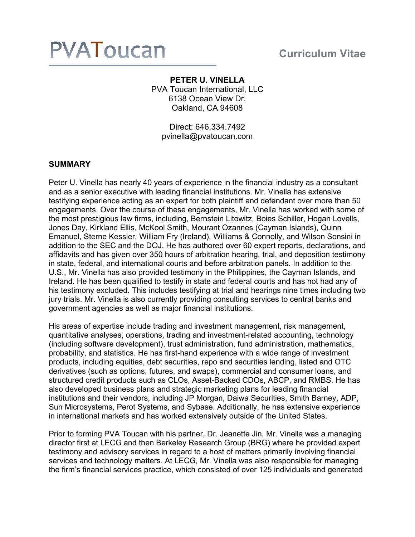# **PVATOUCAN** Curriculum Vitae

# **PETER U. VINELLA** PVA Toucan International, LLC 6138 Ocean View Dr. Oakland, CA 94608

Direct: 646.334.7492 pvinella@pvatoucan.com

# **SUMMARY**

Peter U. Vinella has nearly 40 years of experience in the financial industry as a consultant and as a senior executive with leading financial institutions. Mr. Vinella has extensive testifying experience acting as an expert for both plaintiff and defendant over more than 50 engagements. Over the course of these engagements, Mr. Vinella has worked with some of the most prestigious law firms, including, Bernstein Litowitz, Boies Schiller, Hogan Lovells, Jones Day, Kirkland Ellis, McKool Smith, Mourant Ozannes (Cayman Islands), Quinn Emanuel, Sterne Kessler, William Fry (Ireland), Williams & Connolly, and Wilson Sonsini in addition to the SEC and the DOJ. He has authored over 60 expert reports, declarations, and affidavits and has given over 350 hours of arbitration hearing, trial, and deposition testimony in state, federal, and international courts and before arbitration panels. In addition to the U.S., Mr. Vinella has also provided testimony in the Philippines, the Cayman Islands, and Ireland. He has been qualified to testify in state and federal courts and has not had any of his testimony excluded. This includes testifying at trial and hearings nine times including two jury trials. Mr. Vinella is also currently providing consulting services to central banks and government agencies as well as major financial institutions.

His areas of expertise include trading and investment management, risk management, quantitative analyses, operations, trading and investment-related accounting, technology (including software development), trust administration, fund administration, mathematics, probability, and statistics. He has first-hand experience with a wide range of investment products, including equities, debt securities, repo and securities lending, listed and OTC derivatives (such as options, futures, and swaps), commercial and consumer loans, and structured credit products such as CLOs, Asset-Backed CDOs, ABCP, and RMBS. He has also developed business plans and strategic marketing plans for leading financial institutions and their vendors, including JP Morgan, Daiwa Securities, Smith Barney, ADP, Sun Microsystems, Perot Systems, and Sybase. Additionally, he has extensive experience in international markets and has worked extensively outside of the United States.

Prior to forming PVA Toucan with his partner, Dr. Jeanette Jin, Mr. Vinella was a managing director first at LECG and then Berkeley Research Group (BRG) where he provided expert testimony and advisory services in regard to a host of matters primarily involving financial services and technology matters. At LECG, Mr. Vinella was also responsible for managing the firm's financial services practice, which consisted of over 125 individuals and generated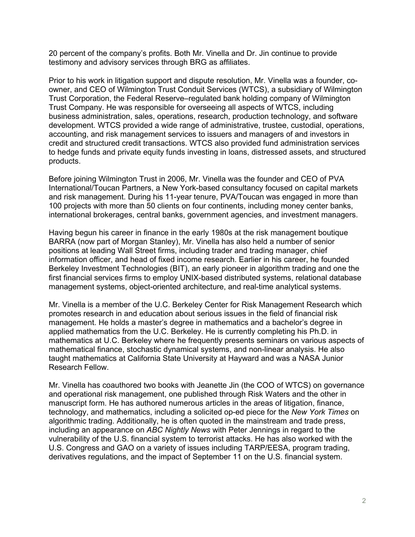20 percent of the company's profits. Both Mr. Vinella and Dr. Jin continue to provide testimony and advisory services through BRG as affiliates.

Prior to his work in litigation support and dispute resolution, Mr. Vinella was a founder, coowner, and CEO of Wilmington Trust Conduit Services (WTCS), a subsidiary of Wilmington Trust Corporation, the Federal Reserve–regulated bank holding company of Wilmington Trust Company. He was responsible for overseeing all aspects of WTCS, including business administration, sales, operations, research, production technology, and software development. WTCS provided a wide range of administrative, trustee, custodial, operations, accounting, and risk management services to issuers and managers of and investors in credit and structured credit transactions. WTCS also provided fund administration services to hedge funds and private equity funds investing in loans, distressed assets, and structured products.

Before joining Wilmington Trust in 2006, Mr. Vinella was the founder and CEO of PVA International/Toucan Partners, a New York-based consultancy focused on capital markets and risk management. During his 11-year tenure, PVA/Toucan was engaged in more than 100 projects with more than 50 clients on four continents, including money center banks, international brokerages, central banks, government agencies, and investment managers.

Having begun his career in finance in the early 1980s at the risk management boutique BARRA (now part of Morgan Stanley), Mr. Vinella has also held a number of senior positions at leading Wall Street firms, including trader and trading manager, chief information officer, and head of fixed income research. Earlier in his career, he founded Berkeley Investment Technologies (BIT), an early pioneer in algorithm trading and one the first financial services firms to employ UNIX-based distributed systems, relational database management systems, object-oriented architecture, and real-time analytical systems.

Mr. Vinella is a member of the U.C. Berkeley Center for Risk Management Research which promotes research in and education about serious issues in the field of financial risk management. He holds a master's degree in mathematics and a bachelor's degree in applied mathematics from the U.C. Berkeley. He is currently completing his Ph.D. in mathematics at U.C. Berkeley where he frequently presents seminars on various aspects of mathematical finance, stochastic dynamical systems, and non-linear analysis. He also taught mathematics at California State University at Hayward and was a NASA Junior Research Fellow.

Mr. Vinella has coauthored two books with Jeanette Jin (the COO of WTCS) on governance and operational risk management, one published through Risk Waters and the other in manuscript form. He has authored numerous articles in the areas of litigation, finance, technology, and mathematics, including a solicited op-ed piece for the *New York Times* on algorithmic trading. Additionally, he is often quoted in the mainstream and trade press, including an appearance on *ABC Nightly News* with Peter Jennings in regard to the vulnerability of the U.S. financial system to terrorist attacks. He has also worked with the U.S. Congress and GAO on a variety of issues including TARP/EESA, program trading, derivatives regulations, and the impact of September 11 on the U.S. financial system.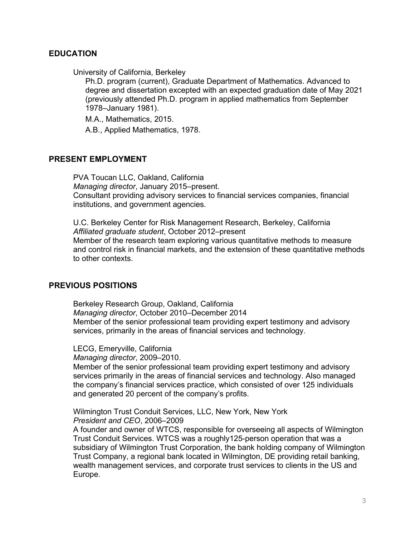# **EDUCATION**

University of California, Berkeley

Ph.D. program (current), Graduate Department of Mathematics. Advanced to degree and dissertation excepted with an expected graduation date of May 2021 (previously attended Ph.D. program in applied mathematics from September 1978–January 1981).

M.A., Mathematics, 2015.

A.B., Applied Mathematics, 1978.

## **PRESENT EMPLOYMENT**

PVA Toucan LLC, Oakland, California *Managing director*, January 2015–present. Consultant providing advisory services to financial services companies, financial institutions, and government agencies.

U.C. Berkeley Center for Risk Management Research, Berkeley, California *Affiliated graduate student*, October 2012–present Member of the research team exploring various quantitative methods to measure and control risk in financial markets, and the extension of these quantitative methods to other contexts.

# **PREVIOUS POSITIONS**

Berkeley Research Group, Oakland, California *Managing director*, October 2010–December 2014 Member of the senior professional team providing expert testimony and advisory services, primarily in the areas of financial services and technology.

LECG, Emeryville, California *Managing director*, 2009–2010.

Member of the senior professional team providing expert testimony and advisory services primarily in the areas of financial services and technology. Also managed the company's financial services practice, which consisted of over 125 individuals and generated 20 percent of the company's profits.

Wilmington Trust Conduit Services, LLC, New York, New York *President and CEO*, 2006–2009

A founder and owner of WTCS, responsible for overseeing all aspects of Wilmington Trust Conduit Services. WTCS was a roughly125-person operation that was a subsidiary of Wilmington Trust Corporation, the bank holding company of Wilmington Trust Company, a regional bank located in Wilmington, DE providing retail banking, wealth management services, and corporate trust services to clients in the US and Europe.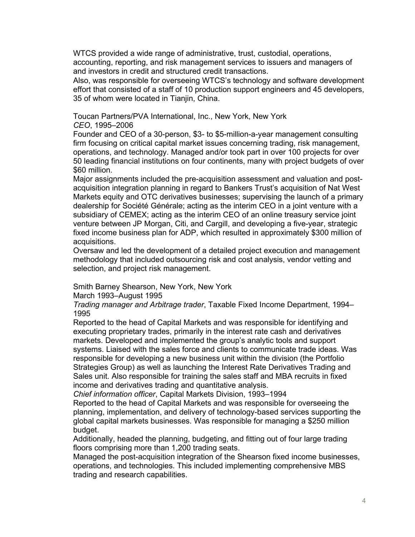WTCS provided a wide range of administrative, trust, custodial, operations, accounting, reporting, and risk management services to issuers and managers of and investors in credit and structured credit transactions.

Also, was responsible for overseeing WTCS's technology and software development effort that consisted of a staff of 10 production support engineers and 45 developers, 35 of whom were located in Tianjin, China.

Toucan Partners/PVA International, Inc., New York, New York *CEO*, 1995–2006

Founder and CEO of a 30-person, \$3- to \$5-million-a-year management consulting firm focusing on critical capital market issues concerning trading, risk management, operations, and technology. Managed and/or took part in over 100 projects for over 50 leading financial institutions on four continents, many with project budgets of over \$60 million.

Major assignments included the pre-acquisition assessment and valuation and postacquisition integration planning in regard to Bankers Trust's acquisition of Nat West Markets equity and OTC derivatives businesses; supervising the launch of a primary dealership for Société Générale; acting as the interim CEO in a joint venture with a subsidiary of CEMEX; acting as the interim CEO of an online treasury service joint venture between JP Morgan, Citi, and Cargill, and developing a five-year, strategic fixed income business plan for ADP, which resulted in approximately \$300 million of acquisitions.

Oversaw and led the development of a detailed project execution and management methodology that included outsourcing risk and cost analysis, vendor vetting and selection, and project risk management.

Smith Barney Shearson, New York, New York

March 1993–August 1995

*Trading manager and Arbitrage trader*, Taxable Fixed Income Department, 1994– 1995

Reported to the head of Capital Markets and was responsible for identifying and executing proprietary trades, primarily in the interest rate cash and derivatives markets. Developed and implemented the group's analytic tools and support systems. Liaised with the sales force and clients to communicate trade ideas. Was responsible for developing a new business unit within the division (the Portfolio Strategies Group) as well as launching the Interest Rate Derivatives Trading and Sales unit. Also responsible for training the sales staff and MBA recruits in fixed income and derivatives trading and quantitative analysis.

*Chief information officer*, Capital Markets Division, 1993–1994

Reported to the head of Capital Markets and was responsible for overseeing the planning, implementation, and delivery of technology-based services supporting the global capital markets businesses. Was responsible for managing a \$250 million budget.

Additionally, headed the planning, budgeting, and fitting out of four large trading floors comprising more than 1,200 trading seats.

Managed the post-acquisition integration of the Shearson fixed income businesses, operations, and technologies. This included implementing comprehensive MBS trading and research capabilities.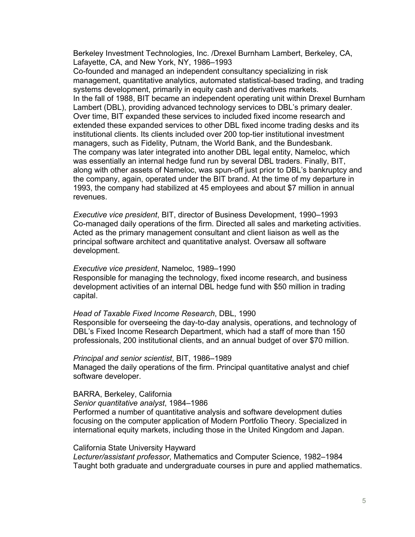Berkeley Investment Technologies, Inc. /Drexel Burnham Lambert, Berkeley, CA, Lafayette, CA, and New York, NY, 1986–1993

Co-founded and managed an independent consultancy specializing in risk management, quantitative analytics, automated statistical-based trading, and trading systems development, primarily in equity cash and derivatives markets. In the fall of 1988, BIT became an independent operating unit within Drexel Burnham Lambert (DBL), providing advanced technology services to DBL's primary dealer. Over time, BIT expanded these services to included fixed income research and extended these expanded services to other DBL fixed income trading desks and its institutional clients. Its clients included over 200 top-tier institutional investment managers, such as Fidelity, Putnam, the World Bank, and the Bundesbank. The company was later integrated into another DBL legal entity, Nameloc, which was essentially an internal hedge fund run by several DBL traders. Finally, BIT, along with other assets of Nameloc, was spun-off just prior to DBL's bankruptcy and the company, again, operated under the BIT brand. At the time of my departure in 1993, the company had stabilized at 45 employees and about \$7 million in annual revenues.

*Executive vice president*, BIT, director of Business Development, 1990–1993 Co-managed daily operations of the firm. Directed all sales and marketing activities. Acted as the primary management consultant and client liaison as well as the principal software architect and quantitative analyst. Oversaw all software development.

### *Executive vice president*, Nameloc, 1989–1990

Responsible for managing the technology, fixed income research, and business development activities of an internal DBL hedge fund with \$50 million in trading capital.

#### *Head of Taxable Fixed Income Research*, DBL, 1990

Responsible for overseeing the day-to-day analysis, operations, and technology of DBL's Fixed Income Research Department, which had a staff of more than 150 professionals, 200 institutional clients, and an annual budget of over \$70 million.

#### *Principal and senior scientist*, BIT, 1986–1989

Managed the daily operations of the firm. Principal quantitative analyst and chief software developer.

### BARRA, Berkeley, California

### *Senior quantitative analyst*, 1984–1986

Performed a number of quantitative analysis and software development duties focusing on the computer application of Modern Portfolio Theory. Specialized in international equity markets, including those in the United Kingdom and Japan.

#### California State University Hayward

*Lecturer/assistant professor*, Mathematics and Computer Science, 1982–1984 Taught both graduate and undergraduate courses in pure and applied mathematics.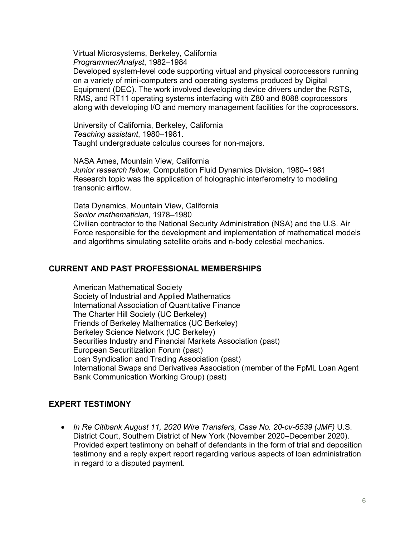Virtual Microsystems, Berkeley, California *Programmer/Analyst*, 1982–1984

Developed system-level code supporting virtual and physical coprocessors running on a variety of mini-computers and operating systems produced by Digital Equipment (DEC). The work involved developing device drivers under the RSTS, RMS, and RT11 operating systems interfacing with Z80 and 8088 coprocessors along with developing I/O and memory management facilities for the coprocessors.

University of California, Berkeley, California *Teaching assistant*, 1980–1981. Taught undergraduate calculus courses for non-majors.

NASA Ames, Mountain View, California *Junior research fellow*, Computation Fluid Dynamics Division, 1980–1981 Research topic was the application of holographic interferometry to modeling transonic airflow.

Data Dynamics, Mountain View, California *Senior mathematician*, 1978–1980 Civilian contractor to the National Security Administration (NSA) and the U.S. Air Force responsible for the development and implementation of mathematical models and algorithms simulating satellite orbits and n-body celestial mechanics.

# **CURRENT AND PAST PROFESSIONAL MEMBERSHIPS**

American Mathematical Society Society of Industrial and Applied Mathematics International Association of Quantitative Finance The Charter Hill Society (UC Berkeley) Friends of Berkeley Mathematics (UC Berkeley) Berkeley Science Network (UC Berkeley) Securities Industry and Financial Markets Association (past) European Securitization Forum (past) Loan Syndication and Trading Association (past) International Swaps and Derivatives Association (member of the FpML Loan Agent Bank Communication Working Group) (past)

# **EXPERT TESTIMONY**

• *In Re Citibank August 11, 2020 Wire Transfers, Case No. 20-cv-6539 (JMF)* U.S. District Court, Southern District of New York (November 2020–December 2020). Provided expert testimony on behalf of defendants in the form of trial and deposition testimony and a reply expert report regarding various aspects of loan administration in regard to a disputed payment.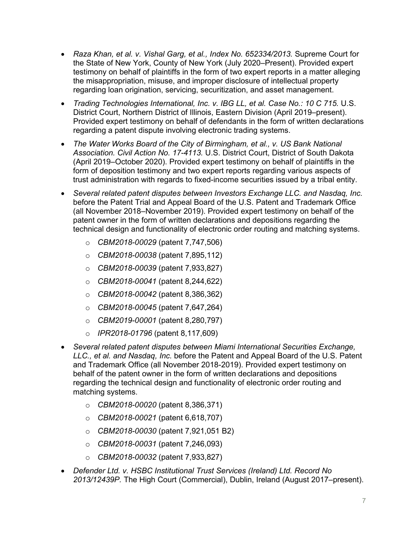- *Raza Khan, et al. v. Vishal Garg, et al., Index No. 652334/2013.* Supreme Court for the State of New York, County of New York (July 2020–Present). Provided expert testimony on behalf of plaintiffs in the form of two expert reports in a matter alleging the misappropriation, misuse, and improper disclosure of intellectual property regarding loan origination, servicing, securitization, and asset management.
- *Trading Technologies International, Inc. v. IBG LL, et al. Case No.: 10 C 715.* U.S. District Court, Northern District of Illinois, Eastern Division (April 2019–present). Provided expert testimony on behalf of defendants in the form of written declarations regarding a patent dispute involving electronic trading systems.
- *The Water Works Board of the City of Birmingham, et al., v. US Bank National Association. Civil Action No. 17-4113.* U.S. District Court, District of South Dakota (April 2019–October 2020). Provided expert testimony on behalf of plaintiffs in the form of deposition testimony and two expert reports regarding various aspects of trust administration with regards to fixed-income securities issued by a tribal entity.
- *Several related patent disputes between Investors Exchange LLC. and Nasdaq, Inc.*  before the Patent Trial and Appeal Board of the U.S. Patent and Trademark Office (all November 2018–November 2019). Provided expert testimony on behalf of the patent owner in the form of written declarations and depositions regarding the technical design and functionality of electronic order routing and matching systems.
	- o *CBM2018-00029* (patent 7,747,506)
	- o *CBM2018-00038* (patent 7,895,112)
	- o *CBM2018-00039* (patent 7,933,827)
	- o *CBM2018-00041* (patent 8,244,622)
	- o *CBM2018-00042* (patent 8,386,362)
	- o *CBM2018-00045* (patent 7,647,264)
	- o *CBM2019-00001* (patent 8,280,797)
	- o *IPR2018-01796* (patent 8,117,609)
- *Several related patent disputes between Miami International Securities Exchange, LLC., et al. and Nasdaq, Inc.* before the Patent and Appeal Board of the U.S. Patent and Trademark Office (all November 2018-2019). Provided expert testimony on behalf of the patent owner in the form of written declarations and depositions regarding the technical design and functionality of electronic order routing and matching systems.
	- o *CBM2018-00020* (patent 8,386,371)
	- o *CBM2018-00021* (patent 6,618,707)
	- o *CBM2018-00030* (patent 7,921,051 B2)
	- o *CBM2018-00031* (patent 7,246,093)
	- o *CBM2018-00032* (patent 7,933,827)
- *Defender Ltd. v. HSBC Institutional Trust Services (Ireland) Ltd. Record No 2013/12439P.* The High Court (Commercial), Dublin, Ireland (August 2017–present).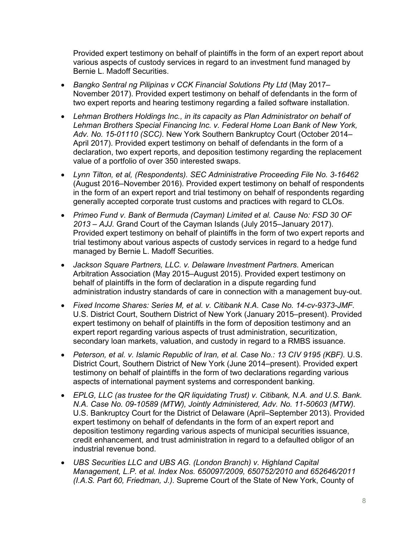Provided expert testimony on behalf of plaintiffs in the form of an expert report about various aspects of custody services in regard to an investment fund managed by Bernie L. Madoff Securities.

- *Bangko Sentral ng Pilipinas v CCK Financial Solutions Pty Ltd* (May 2017– November 2017). Provided expert testimony on behalf of defendants in the form of two expert reports and hearing testimony regarding a failed software installation.
- *Lehman Brothers Holdings Inc., in its capacity as Plan Administrator on behalf of Lehman Brothers Special Financing Inc. v. Federal Home Loan Bank of New York, Adv. No. 15-01110 (SCC).* New York Southern Bankruptcy Court (October 2014– April 2017). Provided expert testimony on behalf of defendants in the form of a declaration, two expert reports, and deposition testimony regarding the replacement value of a portfolio of over 350 interested swaps.
- *Lynn Tilton, et al, (Respondents). SEC Administrative Proceeding File No. 3-16462*  (August 2016–November 2016). Provided expert testimony on behalf of respondents in the form of an expert report and trial testimony on behalf of respondents regarding generally accepted corporate trust customs and practices with regard to CLOs.
- *Primeo Fund v. Bank of Bermuda (Cayman) Limited et al. Cause No: FSD 30 OF 2013 – AJJ.* Grand Court of the Cayman Islands (July 2015–January 2017). Provided expert testimony on behalf of plaintiffs in the form of two expert reports and trial testimony about various aspects of custody services in regard to a hedge fund managed by Bernie L. Madoff Securities.
- *Jackson Square Partners, LLC. v. Delaware Investment Partners*. American Arbitration Association (May 2015–August 2015). Provided expert testimony on behalf of plaintiffs in the form of declaration in a dispute regarding fund administration industry standards of care in connection with a management buy-out.
- *Fixed Income Shares: Series M, et al. v. Citibank N.A. Case No. 14-cv-9373-JMF.* U.S. District Court, Southern District of New York (January 2015–present). Provided expert testimony on behalf of plaintiffs in the form of deposition testimony and an expert report regarding various aspects of trust administration, securitization, secondary loan markets, valuation, and custody in regard to a RMBS issuance.
- *Peterson, et al. v. Islamic Republic of Iran, et al. Case No.: 13 CIV 9195 (KBF).* U.S. District Court, Southern District of New York (June 2014–present). Provided expert testimony on behalf of plaintiffs in the form of two declarations regarding various aspects of international payment systems and correspondent banking.
- *EPLG, LLC (as trustee for the QR liquidating Trust) v. Citibank, N.A. and U.S. Bank. N.A. Case No. 09-10589 (MTW), Jointly Administered, Adv. No. 11-50603 (MTW).* U.S. Bankruptcy Court for the District of Delaware (April–September 2013). Provided expert testimony on behalf of defendants in the form of an expert report and deposition testimony regarding various aspects of municipal securities issuance, credit enhancement, and trust administration in regard to a defaulted obligor of an industrial revenue bond.
- *UBS Securities LLC and UBS AG. (London Branch) v. Highland Capital Management, L.P. et al. Index Nos. 650097/2009, 650752/2010 and 652646/2011 (I.A.S. Part 60, Friedman, J.).* Supreme Court of the State of New York, County of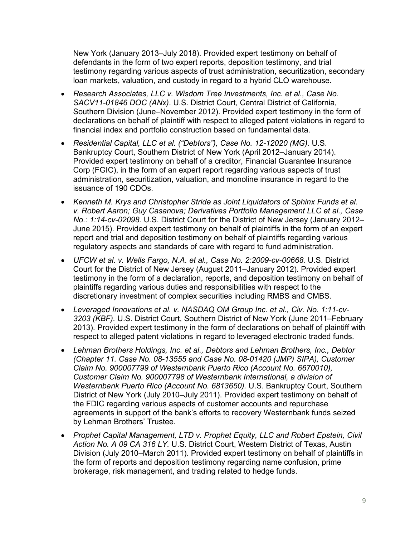New York (January 2013–July 2018). Provided expert testimony on behalf of defendants in the form of two expert reports, deposition testimony, and trial testimony regarding various aspects of trust administration, securitization, secondary loan markets, valuation, and custody in regard to a hybrid CLO warehouse.

- *Research Associates, LLC v. Wisdom Tree Investments, Inc. et al., Case No. SACV11-01846 DOC (ANx)*. U.S. District Court, Central District of California, Southern Division (June–November 2012). Provided expert testimony in the form of declarations on behalf of plaintiff with respect to alleged patent violations in regard to financial index and portfolio construction based on fundamental data.
- *Residential Capital, LLC et al. ("Debtors"), Case No. 12-12020 (MG).* U.S. Bankruptcy Court, Southern District of New York (April 2012–January 2014). Provided expert testimony on behalf of a creditor, Financial Guarantee Insurance Corp (FGIC), in the form of an expert report regarding various aspects of trust administration, securitization, valuation, and monoline insurance in regard to the issuance of 190 CDOs.
- *Kenneth M. Krys and Christopher Stride as Joint Liquidators of Sphinx Funds et al. v. Robert Aaron; Guy Casanova; Derivatives Portfolio Management LLC et al., Case No.: 1:14-cv-02098.* U.S. District Court for the District of New Jersey (January 2012– June 2015). Provided expert testimony on behalf of plaintiffs in the form of an expert report and trial and deposition testimony on behalf of plaintiffs regarding various regulatory aspects and standards of care with regard to fund administration.
- *UFCW et al. v. Wells Fargo, N.A. et al., Case No. 2:2009-cv-00668.* U.S. District Court for the District of New Jersey (August 2011–January 2012). Provided expert testimony in the form of a declaration, reports, and deposition testimony on behalf of plaintiffs regarding various duties and responsibilities with respect to the discretionary investment of complex securities including RMBS and CMBS.
- *Leveraged Innovations et al. v. NASDAQ OM Group Inc. et al., Civ. No. 1:11-cv-3203 (KBF).* U.S. District Court, Southern District of New York (June 2011–February 2013). Provided expert testimony in the form of declarations on behalf of plaintiff with respect to alleged patent violations in regard to leveraged electronic traded funds.
- *Lehman Brothers Holdings, Inc. et al., Debtors and Lehman Brothers, Inc., Debtor (Chapter 11. Case No. 08-13555 and Case No. 08-01420 (JMP) SIPA), Customer Claim No. 900007799 of Westernbank Puerto Rico (Account No. 6670010), Customer Claim No. 900007798 of Westernbank International, a division of Westernbank Puerto Rico (Account No. 6813650).* U.S. Bankruptcy Court, Southern District of New York (July 2010–July 2011). Provided expert testimony on behalf of the FDIC regarding various aspects of customer accounts and repurchase agreements in support of the bank's efforts to recovery Westernbank funds seized by Lehman Brothers' Trustee.
- *Prophet Capital Management, LTD v. Prophet Equity, LLC and Robert Epstein, Civil Action No. A 09 CA 316 LY.* U.S. District Court, Western District of Texas, Austin Division (July 2010–March 2011). Provided expert testimony on behalf of plaintiffs in the form of reports and deposition testimony regarding name confusion, prime brokerage, risk management, and trading related to hedge funds.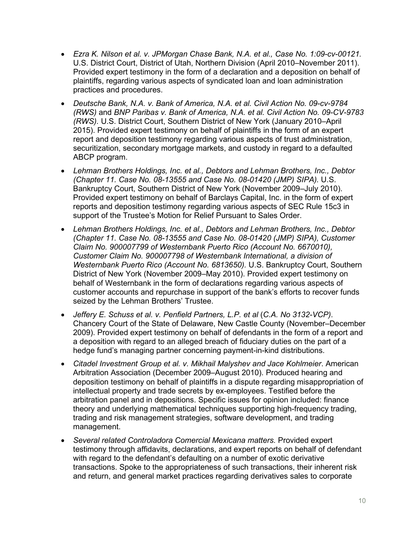- *Ezra K. Nilson et al. v. JPMorgan Chase Bank, N.A. et al., Case No. 1:09-cv-00121.*  U.S. District Court, District of Utah, Northern Division (April 2010–November 2011). Provided expert testimony in the form of a declaration and a deposition on behalf of plaintiffs, regarding various aspects of syndicated loan and loan administration practices and procedures.
- *Deutsche Bank, N.A. v. Bank of America, N.A. et al. Civil Action No. 09-cv-9784 (RWS)* and *BNP Paribas v. Bank of America, N.A. et al. Civil Action No. 09-CV-9783 (RWS).* U.S. District Court, Southern District of New York (January 2010–April 2015). Provided expert testimony on behalf of plaintiffs in the form of an expert report and deposition testimony regarding various aspects of trust administration, securitization, secondary mortgage markets, and custody in regard to a defaulted ABCP program.
- *Lehman Brothers Holdings, Inc. et al., Debtors and Lehman Brothers, Inc., Debtor (Chapter 11. Case No. 08-13555 and Case No. 08-01420 (JMP) SIPA).* U.S. Bankruptcy Court, Southern District of New York (November 2009–July 2010). Provided expert testimony on behalf of Barclays Capital, Inc. in the form of expert reports and deposition testimony regarding various aspects of SEC Rule 15c3 in support of the Trustee's Motion for Relief Pursuant to Sales Order.
- *Lehman Brothers Holdings, Inc. et al., Debtors and Lehman Brothers, Inc., Debtor (Chapter 11. Case No. 08-13555 and Case No. 08-01420 (JMP) SIPA), Customer Claim No. 900007799 of Westernbank Puerto Rico (Account No. 6670010), Customer Claim No. 900007798 of Westernbank International, a division of Westernbank Puerto Rico (Account No. 6813650).* U.S. Bankruptcy Court, Southern District of New York (November 2009–May 2010). Provided expert testimony on behalf of Westernbank in the form of declarations regarding various aspects of customer accounts and repurchase in support of the bank's efforts to recover funds seized by the Lehman Brothers' Trustee.
- *Jeffery E. Schuss et al. v. Penfield Partners, L.P. et al* (*C.A. No 3132-VCP)*. Chancery Court of the State of Delaware, New Castle County (November–December 2009). Provided expert testimony on behalf of defendants in the form of a report and a deposition with regard to an alleged breach of fiduciary duties on the part of a hedge fund's managing partner concerning payment-in-kind distributions.
- *Citadel Investment Group et al. v. Mikhail Malyshev and Jace Kohlmeier*. American Arbitration Association (December 2009–August 2010). Produced hearing and deposition testimony on behalf of plaintiffs in a dispute regarding misappropriation of intellectual property and trade secrets by ex-employees. Testified before the arbitration panel and in depositions. Specific issues for opinion included: finance theory and underlying mathematical techniques supporting high-frequency trading, trading and risk management strategies, software development, and trading management.
- *Several related Controladora Comercial Mexicana matters.* Provided expert testimony through affidavits, declarations, and expert reports on behalf of defendant with regard to the defendant's defaulting on a number of exotic derivative transactions. Spoke to the appropriateness of such transactions, their inherent risk and return, and general market practices regarding derivatives sales to corporate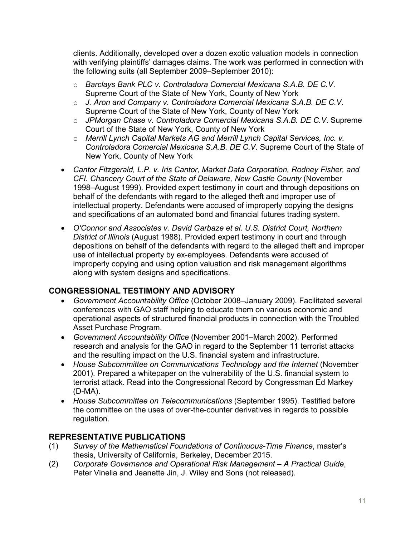clients. Additionally, developed over a dozen exotic valuation models in connection with verifying plaintiffs' damages claims. The work was performed in connection with the following suits (all September 2009–September 2010):

- o *Barclays Bank PLC v. Controladora Comercial Mexicana S.A.B. DE C.V*. Supreme Court of the State of New York, County of New York
- o *J. Aron and Company v. Controladora Comercial Mexicana S.A.B. DE C.V*. Supreme Court of the State of New York, County of New York
- o *JPMorgan Chase v. Controladora Comercial Mexicana S.A.B. DE C.V*. Supreme Court of the State of New York, County of New York
- o *Merrill Lynch Capital Markets AG and Merrill Lynch Capital Services, Inc. v. Controladora Comercial Mexicana S.A.B. DE C.V.* Supreme Court of the State of New York, County of New York
- *Cantor Fitzgerald, L.P. v. Iris Cantor, Market Data Corporation, Rodney Fisher, and CFI. Chancery Court of the State of Delaware, New Castle County* (November 1998–August 1999). Provided expert testimony in court and through depositions on behalf of the defendants with regard to the alleged theft and improper use of intellectual property. Defendants were accused of improperly copying the designs and specifications of an automated bond and financial futures trading system.
- *O'Connor and Associates v. David Garbaze et al. U.S. District Court, Northern District of Illinois* (August 1988). Provided expert testimony in court and through depositions on behalf of the defendants with regard to the alleged theft and improper use of intellectual property by ex-employees. Defendants were accused of improperly copying and using option valuation and risk management algorithms along with system designs and specifications.

# **CONGRESSIONAL TESTIMONY AND ADVISORY**

- *Government Accountability Office* (October 2008–January 2009). Facilitated several conferences with GAO staff helping to educate them on various economic and operational aspects of structured financial products in connection with the Troubled Asset Purchase Program.
- *Government Accountability Office* (November 2001–March 2002). Performed research and analysis for the GAO in regard to the September 11 terrorist attacks and the resulting impact on the U.S. financial system and infrastructure.
- *House Subcommittee on Communications Technology and the Internet* (November 2001). Prepared a whitepaper on the vulnerability of the U.S. financial system to terrorist attack. Read into the Congressional Record by Congressman Ed Markey (D-MA).
- *House Subcommittee on Telecommunications* (September 1995). Testified before the committee on the uses of over-the-counter derivatives in regards to possible regulation.

# **REPRESENTATIVE PUBLICATIONS**

- (1) *Survey of the Mathematical Foundations of Continuous-Time Finance*, master's thesis, University of California, Berkeley, December 2015.
- (2) *Corporate Governance and Operational Risk Management – A Practical Guide*, Peter Vinella and Jeanette Jin, J. Wiley and Sons (not released).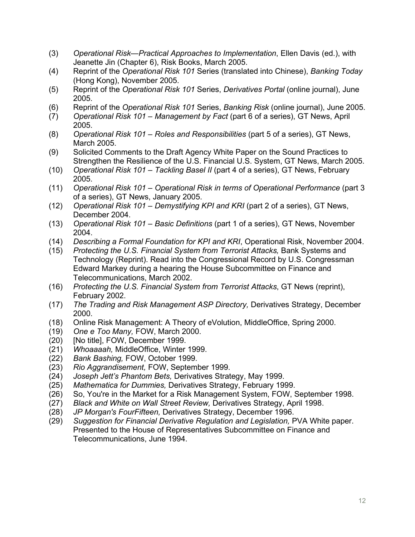- (3) *Operational Risk—Practical Approaches to Implementation*, Ellen Davis (ed.), with Jeanette Jin (Chapter 6), Risk Books, March 2005.
- (4) Reprint of the *Operational Risk 101* Series (translated into Chinese), *Banking Today* (Hong Kong), November 2005.
- (5) Reprint of the *Operational Risk 101* Series, *Derivatives Portal* (online journal), June 2005.
- (6) Reprint of the *Operational Risk 101* Series, *Banking Risk* (online journal), June 2005.
- (7) *Operational Risk 101 – Management by Fact* (part 6 of a series), GT News, April 2005.
- (8) *Operational Risk 101 – Roles and Responsibilities* (part 5 of a series), GT News, March 2005.
- (9) Solicited Comments to the Draft Agency White Paper on the Sound Practices to Strengthen the Resilience of the U.S. Financial U.S. System, GT News, March 2005.
- (10) *Operational Risk 101 – Tackling Basel II* (part 4 of a series), GT News, February 2005.
- (11) *Operational Risk 101 – Operational Risk in terms of Operational Performance* (part 3 of a series), GT News, January 2005.
- (12) *Operational Risk 101 – Demystifying KPI and KRI* (part 2 of a series), GT News, December 2004.
- (13) *Operational Risk 101 – Basic Definitions* (part 1 of a series), GT News, November 2004.
- (14) *Describing a Formal Foundation for KPI and KRI*, Operational Risk, November 2004.
- (15) *Protecting the U.S. Financial System from Terrorist Attacks,* Bank Systems and Technology (Reprint). Read into the Congressional Record by U.S. Congressman Edward Markey during a hearing the House Subcommittee on Finance and Telecommunications, March 2002.
- (16) *Protecting the U.S. Financial System from Terrorist Attacks*, GT News (reprint), February 2002.
- (17) *The Trading and Risk Management ASP Directory,* Derivatives Strategy, December 2000.
- (18) Online Risk Management: A Theory of eVolution, MiddleOffice, Spring 2000.
- (19) *One e Too Many,* FOW, March 2000.
- (20) [No title], FOW, December 1999.
- (21) *Whoaaaah,* MiddleOffice, Winter 1999.
- (22) *Bank Bashing,* FOW, October 1999.
- (23) *Rio Aggrandisement,* FOW, September 1999.
- (24) *Joseph Jett's Phantom Bets,* Derivatives Strategy, May 1999.
- (25) *Mathematica for Dummies,* Derivatives Strategy, February 1999.
- (26) So, You're in the Market for a Risk Management System, FOW, September 1998.
- (27) *Black and White on Wall Street Review,* Derivatives Strategy, April 1998.
- (28) *JP Morgan's FourFifteen,* Derivatives Strategy, December 1996.
- (29) *Suggestion for Financial Derivative Regulation and Legislation,* PVA White paper. Presented to the House of Representatives Subcommittee on Finance and Telecommunications, June 1994.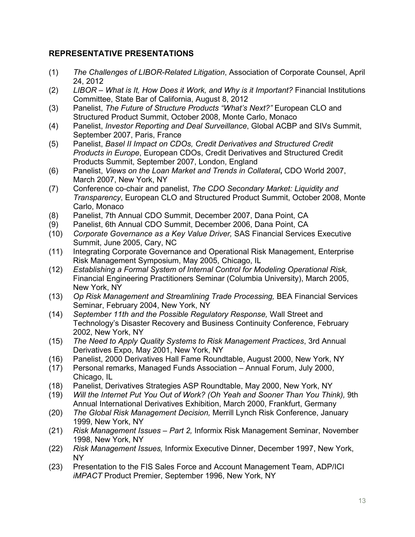# **REPRESENTATIVE PRESENTATIONS**

- (1) *The Challenges of LIBOR-Related Litigation*, Association of Corporate Counsel, April 24, 2012
- (2) *LIBOR – What is It, How Does it Work, and Why is it Important?* Financial Institutions Committee, State Bar of California, August 8, 2012
- (3) Panelist, *The Future of Structure Products "What's Next?"* European CLO and Structured Product Summit, October 2008, Monte Carlo, Monaco
- (4) Panelist, *Investor Reporting and Deal Surveillance*, Global ACBP and SIVs Summit, September 2007, Paris, France
- (5) Panelist, *Basel II Impact on CDOs, Credit Derivatives and Structured Credit Products in Europe*, European CDOs, Credit Derivatives and Structured Credit Products Summit, September 2007, London, England
- (6) Panelist, *Views on the Loan Market and Trends in Collateral***,** CDO World 2007, March 2007, New York, NY
- (7) Conference co-chair and panelist, *The CDO Secondary Market: Liquidity and Transparency*, European CLO and Structured Product Summit, October 2008, Monte Carlo, Monaco
- (8) Panelist, 7th Annual CDO Summit, December 2007, Dana Point, CA
- (9) Panelist, 6th Annual CDO Summit, December 2006, Dana Point, CA
- (10) *Corporate Governance as a Key Value Driver,* SAS Financial Services Executive Summit, June 2005, Cary, NC
- (11) Integrating Corporate Governance and Operational Risk Management, Enterprise Risk Management Symposium, May 2005, Chicago, IL
- (12) *Establishing a Formal System of Internal Control for Modeling Operational Risk,*  Financial Engineering Practitioners Seminar (Columbia University), March 2005, New York, NY
- (13) *Op Risk Management and Streamlining Trade Processing,* BEA Financial Services Seminar, February 2004, New York, NY
- (14) *September 11th and the Possible Regulatory Response,* Wall Street and Technology's Disaster Recovery and Business Continuity Conference, February 2002, New York, NY
- (15) *The Need to Apply Quality Systems to Risk Management Practices*, 3rd Annual Derivatives Expo, May 2001, New York, NY
- (16) Panelist, 2000 Derivatives Hall Fame Roundtable, August 2000, New York, NY
- (17) Personal remarks, Managed Funds Association Annual Forum, July 2000, Chicago, IL
- (18) Panelist, Derivatives Strategies ASP Roundtable, May 2000, New York, NY
- (19) *Will the Internet Put You Out of Work? (Oh Yeah and Sooner Than You Think),* 9th Annual International Derivatives Exhibition, March 2000, Frankfurt, Germany
- (20) *The Global Risk Management Decision,* Merrill Lynch Risk Conference, January 1999, New York, NY
- (21) *Risk Management Issues – Part 2,* Informix Risk Management Seminar, November 1998, New York, NY
- (22) *Risk Management Issues,* Informix Executive Dinner, December 1997, New York, NY
- (23) Presentation to the FIS Sales Force and Account Management Team, ADP/ICI *iMPACT* Product Premier, September 1996, New York, NY